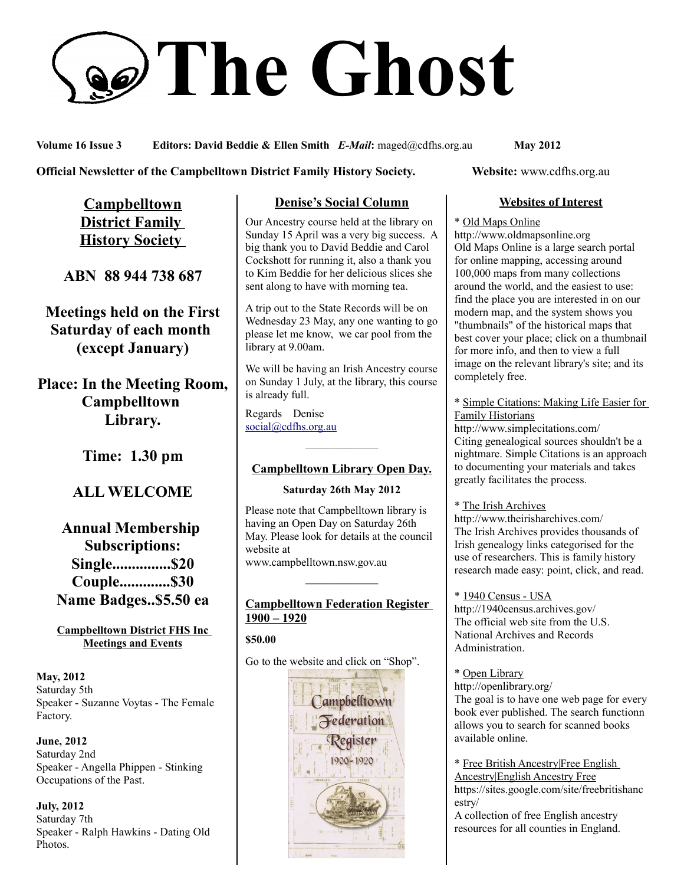# **The Ghost**

**Volume 16 Issue 3 Editors: David Beddie & Ellen Smith** *E-Mail***:** maged@cdfhs.org.au **May 2012**

#### **Official Newsletter of the Campbelltown District Family History Society. Website: www.cdfhs.org.au**

**Campbelltown District Family History Society** 

**ABN 88 944 738 687**

**Meetings held on the First Saturday of each month (except January)**

**Place: In the Meeting Room, Campbelltown Library.**

**Time: 1.30 pm**

# **ALL WELCOME**

# **Annual Membership Subscriptions: Single...............\$20 Couple.............\$30 Name Badges..\$5.50 ea**

#### **Campbelltown District FHS Inc Meetings and Events**

**May, 2012** Saturday 5th Speaker - Suzanne Voytas - The Female Factory.

**June, 2012** Saturday 2nd Speaker - Angella Phippen - Stinking Occupations of the Past.

**July, 2012** Saturday 7th Speaker - Ralph Hawkins - Dating Old Photos.

# **Denise's Social Column**

Our Ancestry course held at the library on Sunday 15 April was a very big success. A big thank you to David Beddie and Carol Cockshott for running it, also a thank you to Kim Beddie for her delicious slices she sent along to have with morning tea.

A trip out to the State Records will be on Wednesday 23 May, any one wanting to go please let me know, we car pool from the library at 9.00am.

We will be having an Irish Ancestry course on Sunday 1 July, at the library, this course is already full.

Regards Denise [social@cdfhs.org.au](mailto:social@cdfhs.org.au)

# ——————– **Campbelltown Library Open Day.**

#### **Saturday 26th May 2012**

Please note that Campbelltown library is having an Open Day on Saturday 26th May. Please look for details at the council website at www.campbelltown.nsw.gov.au

#### **Campbelltown Federation Register 1900 – 1920**

**——————–**

**\$50.00**

Go to the website and click on "Shop".



### **Websites of Interest**

#### \* Old Maps Online

http://www.oldmapsonline.org Old Maps Online is a large search portal for online mapping, accessing around 100,000 maps from many collections around the world, and the easiest to use: find the place you are interested in on our modern map, and the system shows you "thumbnails" of the historical maps that best cover your place; click on a thumbnail for more info, and then to view a full image on the relevant library's site; and its completely free.

\* Simple Citations: Making Life Easier for Family Historians

http://www.simplecitations.com/ Citing genealogical sources shouldn't be a nightmare. Simple Citations is an approach to documenting your materials and takes greatly facilitates the process.

\* The Irish Archives http://www.theirisharchives.com/ The Irish Archives provides thousands of Irish genealogy links categorised for the use of researchers. This is family history research made easy: point, click, and read.

\* 1940 Census - USA http://1940census.archives.gov/ The official web site from the U.S. National Archives and Records Administration.

\* Open Library

http://openlibrary.org/ The goal is to have one web page for every book ever published. The search functionn allows you to search for scanned books available online.

\* Free British Ancestry|Free English Ancestry|English Ancestry Free https://sites.google.com/site/freebritishanc estry/ A collection of free English ancestry resources for all counties in England.